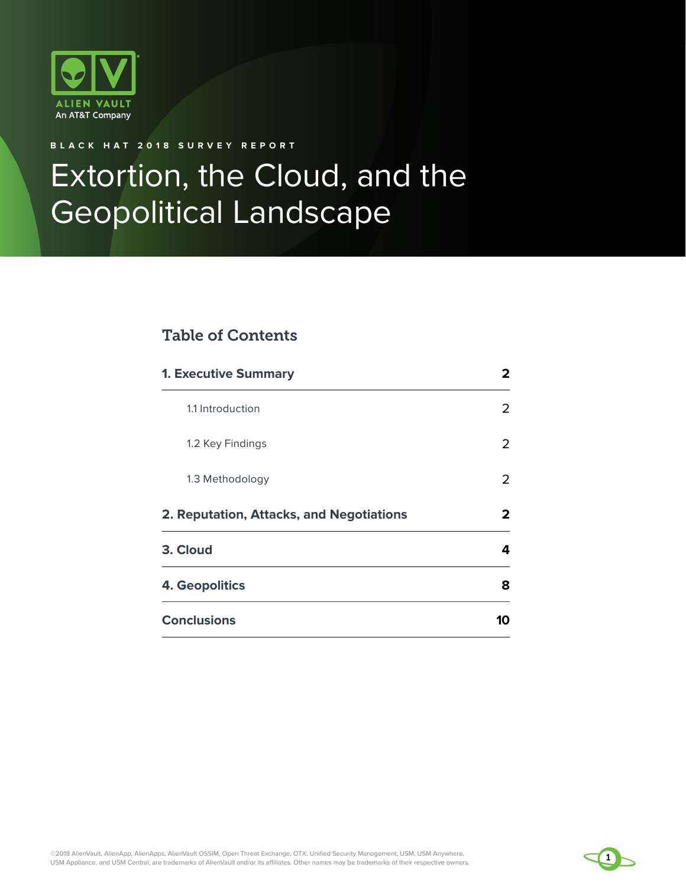

## **BLACK HAT 2018 SURVEY REPORT**

# Extortion, the Cloud, and the Geopolitical Landscape

# Table of Contents

| <b>1. Executive Summary</b>              | 2  |
|------------------------------------------|----|
| 1.1 Introduction                         | 2  |
| 1.2 Key Findings                         | 2  |
| 1.3 Methodology                          | 2  |
| 2. Reputation, Attacks, and Negotiations | 2  |
| 3. Cloud                                 | 4  |
| <b>4. Geopolitics</b>                    | 8  |
| <b>Conclusions</b>                       | 10 |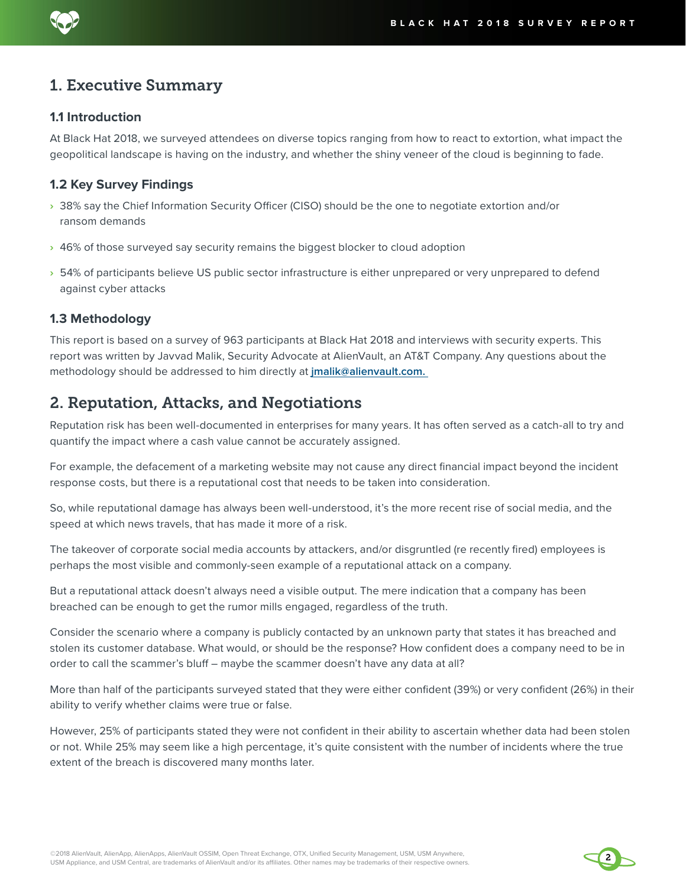

#### **1.1 Introduction**

At Black Hat 2018, we surveyed attendees on diverse topics ranging from how to react to extortion, what impact the geopolitical landscape is having on the industry, and whether the shiny veneer of the cloud is beginning to fade.

#### **1.2 Key Survey Findings**

- **›** 38% say the Chief Information Security Officer (CISO) should be the one to negotiate extortion and/or ransom demands
- **›** 46% of those surveyed say security remains the biggest blocker to cloud adoption
- **›** 54% of participants believe US public sector infrastructure is either unprepared or very unprepared to defend against cyber attacks

#### **1.3 Methodology**

This report is based on a survey of 963 participants at Black Hat 2018 and interviews with security experts. This report was written by Javvad Malik, Security Advocate at AlienVault, an AT&T Company. Any questions about the methodology should be addressed to him directly at **jmalik@alienvault.com.** 

# 2. Reputation, Attacks, and Negotiations

Reputation risk has been well-documented in enterprises for many years. It has often served as a catch-all to try and quantify the impact where a cash value cannot be accurately assigned.

For example, the defacement of a marketing website may not cause any direct financial impact beyond the incident response costs, but there is a reputational cost that needs to be taken into consideration.

So, while reputational damage has always been well-understood, it's the more recent rise of social media, and the speed at which news travels, that has made it more of a risk.

The takeover of corporate social media accounts by attackers, and/or disgruntled (re recently fired) employees is perhaps the most visible and commonly-seen example of a reputational attack on a company.

But a reputational attack doesn't always need a visible output. The mere indication that a company has been breached can be enough to get the rumor mills engaged, regardless of the truth.

Consider the scenario where a company is publicly contacted by an unknown party that states it has breached and stolen its customer database. What would, or should be the response? How confident does a company need to be in order to call the scammer's bluff – maybe the scammer doesn't have any data at all?

More than half of the participants surveyed stated that they were either confident (39%) or very confident (26%) in their ability to verify whether claims were true or false.

However, 25% of participants stated they were not confident in their ability to ascertain whether data had been stolen or not. While 25% may seem like a high percentage, it's quite consistent with the number of incidents where the true extent of the breach is discovered many months later.

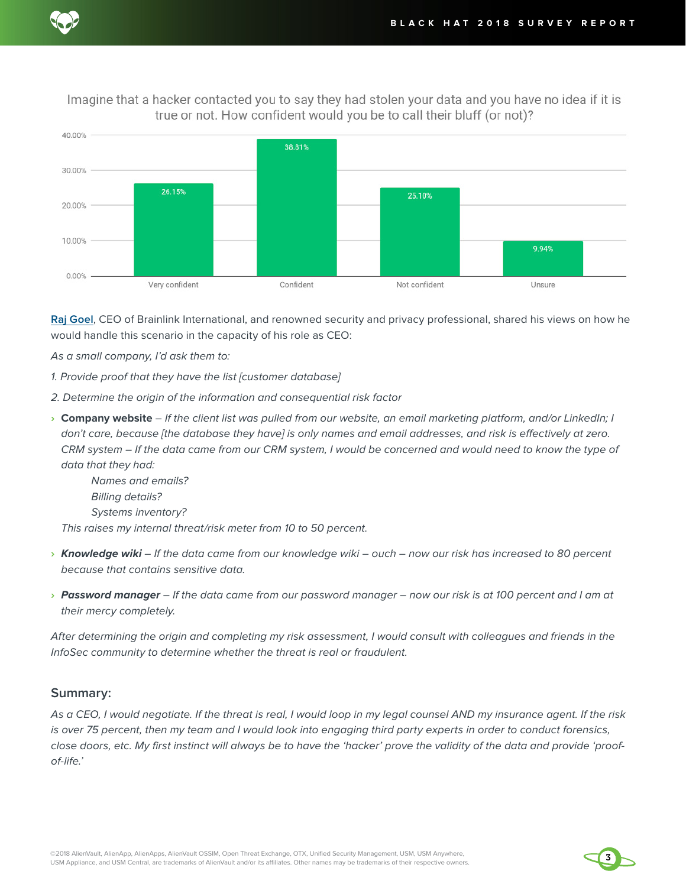Imagine that a hacker contacted you to say they had stolen your data and you have no idea if it is true or not. How confident would you be to call their bluff (or not)?



**[Raj Goel](https://twitter.com/RajGoel_NY)**, CEO of Brainlink International, and renowned security and privacy professional, shared his views on how he would handle this scenario in the capacity of his role as CEO:

As a small company, I'd ask them to:

- 1. Provide proof that they have the list [customer database]
- 2. Determine the origin of the information and consequential risk factor
- **› Company website** If the client list was pulled from our website, an email marketing platform, and/or LinkedIn; I don't care, because [the database they have] is only names and email addresses, and risk is effectively at zero. CRM system – If the data came from our CRM system, I would be concerned and would need to know the type of data that they had:

Names and emails? Billing details? Systems inventory? This raises my internal threat/risk meter from 10 to 50 percent.

- **›** *Knowledge wiki* If the data came from our knowledge wiki ouch now our risk has increased to 80 percent because that contains sensitive data.
- **›** *Password manager* If the data came from our password manager now our risk is at 100 percent and I am at their mercy completely.

After determining the origin and completing my risk assessment, I would consult with colleagues and friends in the InfoSec community to determine whether the threat is real or fraudulent.

#### **Summary:**

As a CEO, I would negotiate. If the threat is real, I would loop in my legal counsel AND my insurance agent. If the risk is over 75 percent, then my team and I would look into engaging third party experts in order to conduct forensics, close doors, etc. My first instinct will always be to have the 'hacker' prove the validity of the data and provide 'proofof-life.'

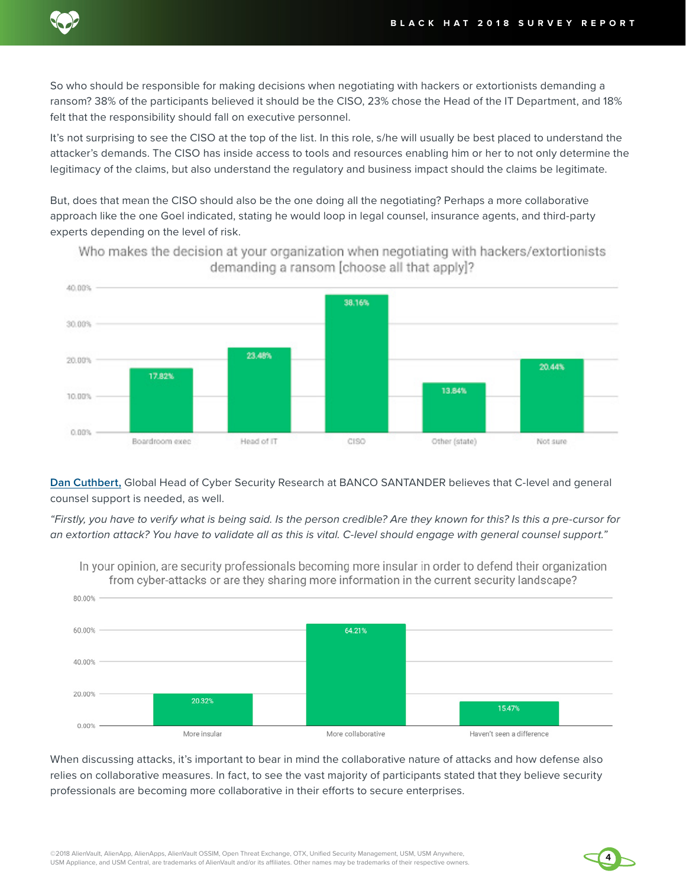

So who should be responsible for making decisions when negotiating with hackers or extortionists demanding a ransom? 38% of the participants believed it should be the CISO, 23% chose the Head of the IT Department, and 18% felt that the responsibility should fall on executive personnel.

It's not surprising to see the CISO at the top of the list. In this role, s/he will usually be best placed to understand the attacker's demands. The CISO has inside access to tools and resources enabling him or her to not only determine the legitimacy of the claims, but also understand the regulatory and business impact should the claims be legitimate.

But, does that mean the CISO should also be the one doing all the negotiating? Perhaps a more collaborative approach like the one Goel indicated, stating he would loop in legal counsel, insurance agents, and third-party experts depending on the level of risk.



Who makes the decision at your organization when negotiating with hackers/extortionists demanding a ransom [choose all that apply]?

**Dan Cuthbert,** Global Head of Cyber Security Research at BANCO SANTANDER believes that C-level and general counsel support is needed, as well.

"Firstly, you have to verify what is being said. Is the person credible? Are they known for this? Is this a pre-cursor for an extortion attack? You have to validate all as this is vital. C-level should engage with general counsel support."



In your opinion, are security professionals becoming more insular in order to defend their organization from cyber-attacks or are they sharing more information in the current security landscape?

When discussing attacks, it's important to bear in mind the collaborative nature of attacks and how defense also relies on collaborative measures. In fact, to see the vast majority of participants stated that they believe security professionals are becoming more collaborative in their efforts to secure enterprises.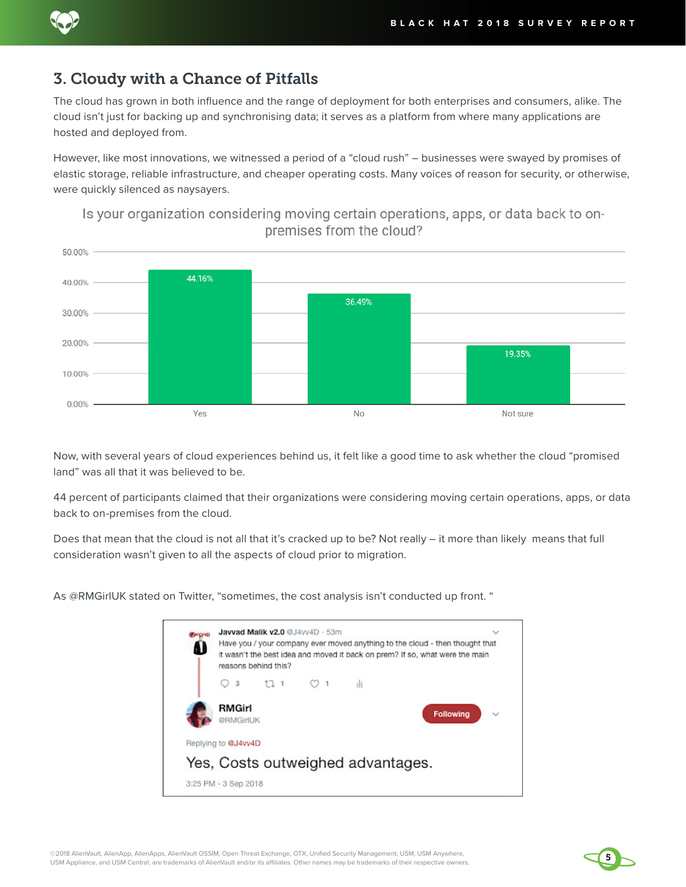

# 3. Cloudy with a Chance of Pitfalls

The cloud has grown in both influence and the range of deployment for both enterprises and consumers, alike. The cloud isn't just for backing up and synchronising data; it serves as a platform from where many applications are hosted and deployed from.

However, like most innovations, we witnessed a period of a "cloud rush" – businesses were swayed by promises of elastic storage, reliable infrastructure, and cheaper operating costs. Many voices of reason for security, or otherwise, were quickly silenced as naysayers.



Is your organization considering moving certain operations, apps, or data back to onpremises from the cloud?

Now, with several years of cloud experiences behind us, it felt like a good time to ask whether the cloud "promised land" was all that it was believed to be.

44 percent of participants claimed that their organizations were considering moving certain operations, apps, or data back to on-premises from the cloud.

Does that mean that the cloud is not all that it's cracked up to be? Not really – it more than likely means that full consideration wasn't given to all the aspects of cloud prior to migration.

As @RMGirlUK stated on Twitter, "sometimes, the cost analysis isn't conducted up front. "



©2018 AlienVault, AlienApp, AlienApps, AlienVault OSSIM, Open Threat Exchange, OTX, Unified Security Management, USM, USM Anywhere, USM Appliance, and USM Central, are trademarks of AlienVault and/or its affiliates. Other names may be trademarks of their respective owners.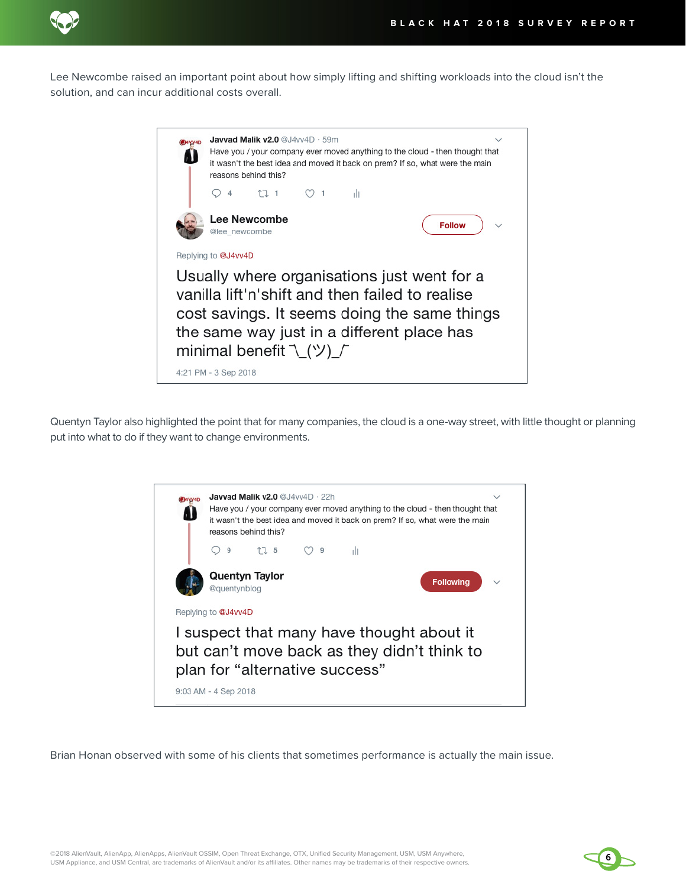

Lee Newcombe raised an important point about how simply lifting and shifting workloads into the cloud isn't the solution, and can incur additional costs overall.

| Javvad Malik v2.0 @J4vv4D · 59m<br>Have you / your company ever moved anything to the cloud - then thought that<br>it wasn't the best idea and moved it back on prem? If so, what were the main<br>reasons behind this? |  |  |
|-------------------------------------------------------------------------------------------------------------------------------------------------------------------------------------------------------------------------|--|--|
| 17.1<br>4<br>ıШ<br>$\overline{1}$                                                                                                                                                                                       |  |  |
| Lee Newcombe<br><b>Follow</b><br>@lee newcombe                                                                                                                                                                          |  |  |
| Replying to @J4vv4D                                                                                                                                                                                                     |  |  |
| Usually where organisations just went for a<br>vanilla lift'n'shift and then failed to realise<br>cost savings. It seems doing the same things<br>the same way just in a different place has<br>minimal benefit \_(ツ)_/ |  |  |
| 4:21 PM - 3 Sep 2018                                                                                                                                                                                                    |  |  |

Quentyn Taylor also highlighted the point that for many companies, the cloud is a one-way street, with little thought or planning put into what to do if they want to change environments.



Brian Honan observed with some of his clients that sometimes performance is actually the main issue.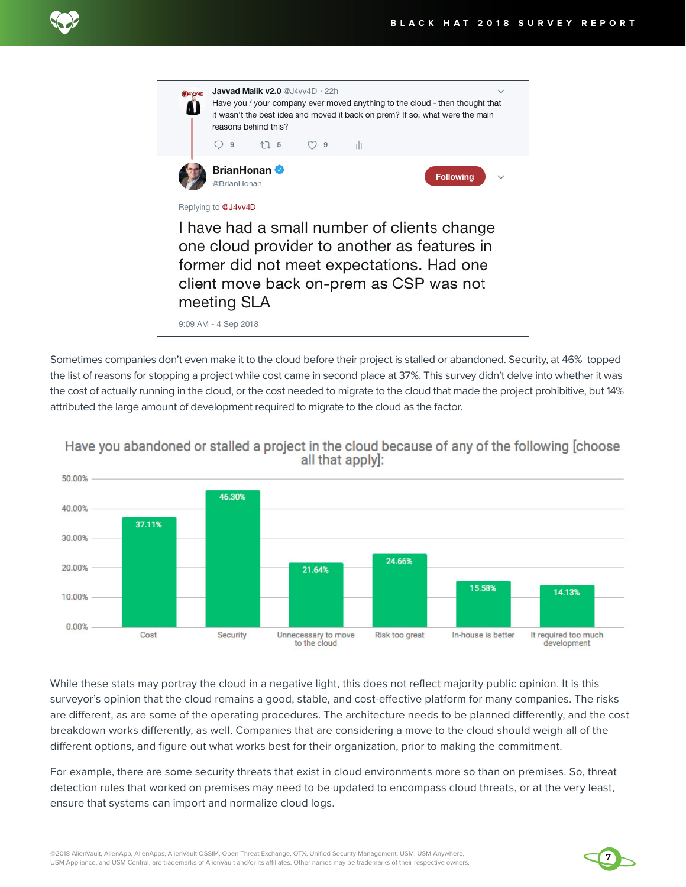



Sometimes companies don't even make it to the cloud before their project is stalled or abandoned. Security, at 46% topped the list of reasons for stopping a project while cost came in second place at 37%. This survey didn't delve into whether it was the cost of actually running in the cloud, or the cost needed to migrate to the cloud that made the project prohibitive, but 14% attributed the large amount of development required to migrate to the cloud as the factor.



Have you abandoned or stalled a project in the cloud because of any of the following [choose all that apply]:

While these stats may portray the cloud in a negative light, this does not reflect majority public opinion. It is this surveyor's opinion that the cloud remains a good, stable, and cost-effective platform for many companies. The risks are different, as are some of the operating procedures. The architecture needs to be planned differently, and the cost breakdown works differently, as well. Companies that are considering a move to the cloud should weigh all of the different options, and figure out what works best for their organization, prior to making the commitment.

For example, there are some security threats that exist in cloud environments more so than on premises. So, threat detection rules that worked on premises may need to be updated to encompass cloud threats, or at the very least, ensure that systems can import and normalize cloud logs.

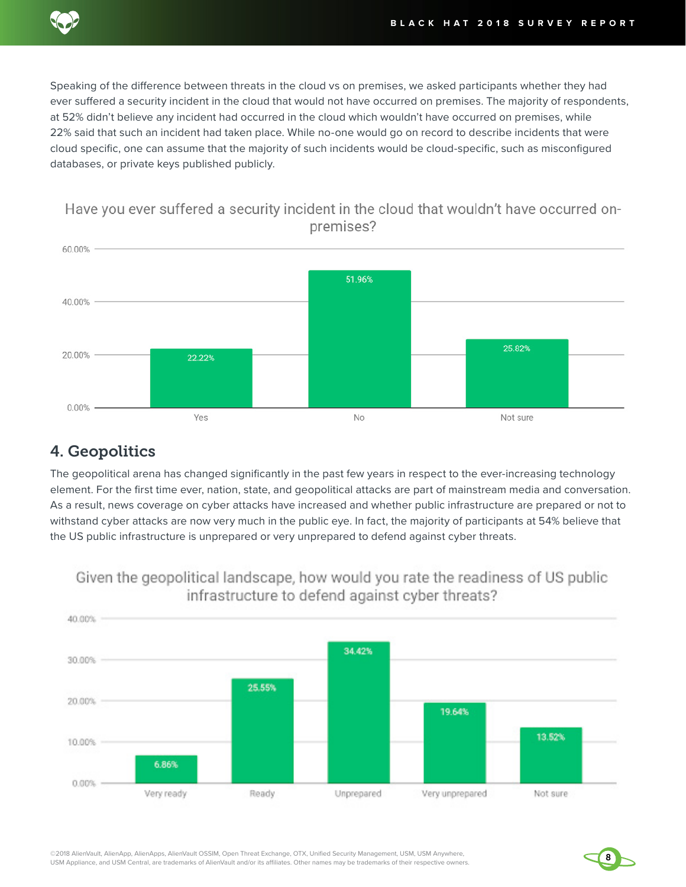

Speaking of the difference between threats in the cloud vs on premises, we asked participants whether they had ever suffered a security incident in the cloud that would not have occurred on premises. The majority of respondents, at 52% didn't believe any incident had occurred in the cloud which wouldn't have occurred on premises, while 22% said that such an incident had taken place. While no-one would go on record to describe incidents that were cloud specific, one can assume that the majority of such incidents would be cloud-specific, such as misconfigured databases, or private keys published publicly.



# 4. Geopolitics

The geopolitical arena has changed significantly in the past few years in respect to the ever-increasing technology element. For the first time ever, nation, state, and geopolitical attacks are part of mainstream media and conversation. As a result, news coverage on cyber attacks have increased and whether public infrastructure are prepared or not to withstand cyber attacks are now very much in the public eye. In fact, the majority of participants at 54% believe that the US public infrastructure is unprepared or very unprepared to defend against cyber threats.



Given the geopolitical landscape, how would you rate the readiness of US public infrastructure to defend against cyber threats?

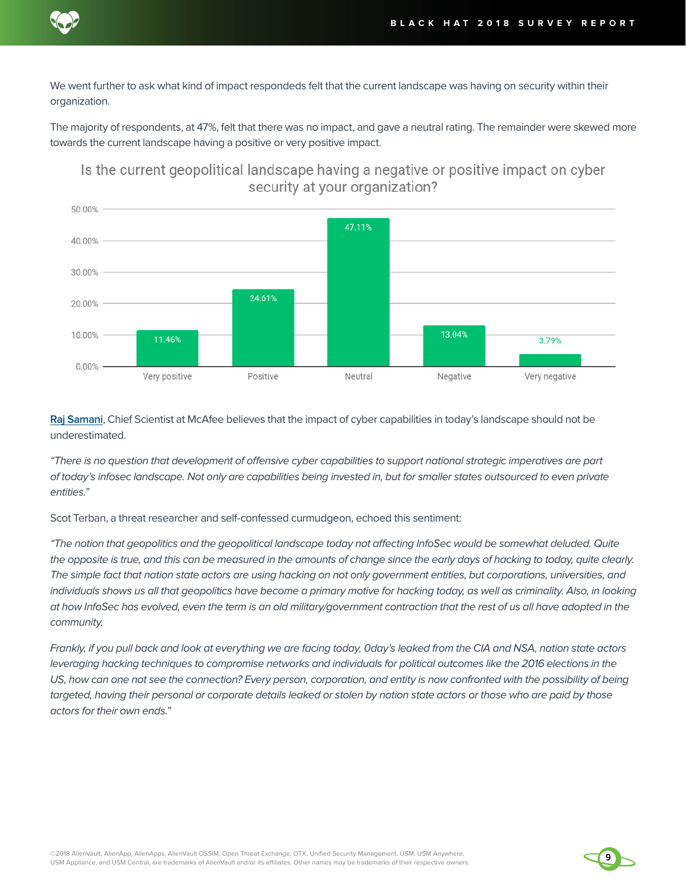

We went further to ask what kind of impact respondeds felt that the current landscape was having on security within their organization.

The majority of respondents, at 47%, felt that there was no impact, and gave a neutral rating. The remainder were skewed more towards the current landscape having a positive or very positive impact.



# Is the current geopolitical landscape having a negative or positive impact on cyber security at your organization?

**[Raj Samani](https://twitter.com/Raj_Samani)**, Chief Scientist at McAfee believes that the impact of cyber capabilities in today's landscape should not be underestimated.

"There is no question that development of offensive cyber capabilities to support national strategic imperatives are part of today's infosec landscape. Not only are capabilities being invested in, but for smaller states outsourced to even private entities."

Scot Terban, a threat researcher and self-confessed curmudgeon, echoed this sentiment:

"The notion that geopolitics and the geopolitical landscape today not affecting InfoSec would be somewhat deluded. Quite the opposite is true, and this can be measured in the amounts of change since the early days of hacking to today, quite clearly. The simple fact that nation state actors are using hacking on not only government entities, but corporations, universities, and individuals shows us all that geopolitics have become a primary motive for hacking today, as well as criminality. Also, in looking at how InfoSec has evolved, even the term is an old military/government contraction that the rest of us all have adopted in the community.

Frankly, if you pull back and look at everything we are facing today, 0day's leaked from the CIA and NSA, nation state actors leveraging hacking techniques to compromise networks and individuals for political outcomes like the 2016 elections in the US, how can one not see the connection? Every person, corporation, and entity is now confronted with the possibility of being targeted, having their personal or corporate details leaked or stolen by nation state actors or those who are paid by those actors for their own ends."